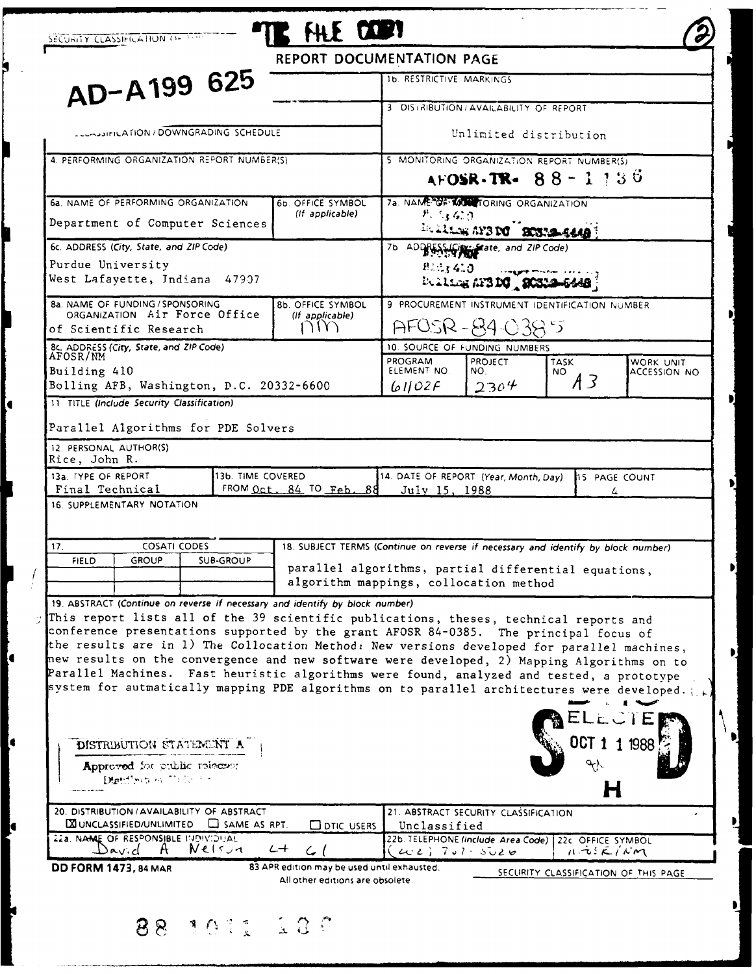|                                                                                                                                                                                                                                                                                                                                                                                                                                                                                                                                                                                                                                                                                                                                                                                                                                                        | REPORT DOCUMENTATION PAGE                                                         |                                                        |                                      |                                                                                |                    |  |
|--------------------------------------------------------------------------------------------------------------------------------------------------------------------------------------------------------------------------------------------------------------------------------------------------------------------------------------------------------------------------------------------------------------------------------------------------------------------------------------------------------------------------------------------------------------------------------------------------------------------------------------------------------------------------------------------------------------------------------------------------------------------------------------------------------------------------------------------------------|-----------------------------------------------------------------------------------|--------------------------------------------------------|--------------------------------------|--------------------------------------------------------------------------------|--------------------|--|
| AD-A199 625                                                                                                                                                                                                                                                                                                                                                                                                                                                                                                                                                                                                                                                                                                                                                                                                                                            |                                                                                   | 1b. RESTRICTIVE MARKINGS                               |                                      |                                                                                |                    |  |
|                                                                                                                                                                                                                                                                                                                                                                                                                                                                                                                                                                                                                                                                                                                                                                                                                                                        |                                                                                   | 3 DISTRIBUTION / AVAILABILITY OF REPORT                |                                      |                                                                                |                    |  |
| <b>CLUMBIFICATION/DOWNGRADING SCHEDULE</b>                                                                                                                                                                                                                                                                                                                                                                                                                                                                                                                                                                                                                                                                                                                                                                                                             |                                                                                   |                                                        |                                      |                                                                                |                    |  |
|                                                                                                                                                                                                                                                                                                                                                                                                                                                                                                                                                                                                                                                                                                                                                                                                                                                        |                                                                                   | Unlimited distribution                                 |                                      |                                                                                |                    |  |
| 4. PERFORMING ORGANIZATION REPORT NUMBER(S)                                                                                                                                                                                                                                                                                                                                                                                                                                                                                                                                                                                                                                                                                                                                                                                                            |                                                                                   |                                                        |                                      | 5 MONITORING ORGANIZATION REPORT NUMBER(S)                                     |                    |  |
|                                                                                                                                                                                                                                                                                                                                                                                                                                                                                                                                                                                                                                                                                                                                                                                                                                                        |                                                                                   |                                                        |                                      | AFOSR-TR- $88 - 1.130$                                                         |                    |  |
| 6a. NAME OF PERFORMING ORGANIZATION                                                                                                                                                                                                                                                                                                                                                                                                                                                                                                                                                                                                                                                                                                                                                                                                                    | 6b. OFFICE SYMBOL<br>(If applicable)                                              |                                                        | 7a. NAME CF MOSTORING ORGANIZATION   |                                                                                |                    |  |
| Department of Computer Sciences                                                                                                                                                                                                                                                                                                                                                                                                                                                                                                                                                                                                                                                                                                                                                                                                                        |                                                                                   | れたばの<br>Realing AY3 DC BOSTA-S440                      |                                      |                                                                                |                    |  |
| 6c. ADDRESS (City, State, and ZIP Code)                                                                                                                                                                                                                                                                                                                                                                                                                                                                                                                                                                                                                                                                                                                                                                                                                |                                                                                   |                                                        | 7b ADD & Surface, and ZIP Code)      |                                                                                |                    |  |
| Purdue University                                                                                                                                                                                                                                                                                                                                                                                                                                                                                                                                                                                                                                                                                                                                                                                                                                      |                                                                                   | 91.1, 4.0                                              |                                      |                                                                                |                    |  |
| West Lafayette, Indiana 47907                                                                                                                                                                                                                                                                                                                                                                                                                                                                                                                                                                                                                                                                                                                                                                                                                          |                                                                                   |                                                        | Boltons AFBDG   20312                |                                                                                |                    |  |
| <b>8a. NAME OF FUNDING / SPONSORING</b><br>8b. OFFICE SYMBOL<br>ORGANIZATION Air Force Office<br>(If applicable)<br>NN<br>of Scientific Research                                                                                                                                                                                                                                                                                                                                                                                                                                                                                                                                                                                                                                                                                                       |                                                                                   |                                                        |                                      | 9 PROCUREMENT INSTRUMENT IDENTIFICATION NUMBER                                 |                    |  |
|                                                                                                                                                                                                                                                                                                                                                                                                                                                                                                                                                                                                                                                                                                                                                                                                                                                        |                                                                                   |                                                        |                                      |                                                                                |                    |  |
| 8c. ADDRESS (City, State, and ZIP Code)                                                                                                                                                                                                                                                                                                                                                                                                                                                                                                                                                                                                                                                                                                                                                                                                                |                                                                                   | AFOSR-84-0385<br>10. SOURCE OF FUNDING NUMBERS         |                                      |                                                                                |                    |  |
| AFOSR/NM                                                                                                                                                                                                                                                                                                                                                                                                                                                                                                                                                                                                                                                                                                                                                                                                                                               |                                                                                   | PROGRAM                                                | <b>PROJECT</b>                       | <b>TASK</b>                                                                    | WORK UNIT          |  |
| Building 410<br>Bolling AFB, Washington, D.C. 20332-6600                                                                                                                                                                                                                                                                                                                                                                                                                                                                                                                                                                                                                                                                                                                                                                                               |                                                                                   | ELEMENT NO.<br>61102F                                  | NO.<br>2304                          | NO.<br>A3                                                                      | ACCESSION NO       |  |
| 11. TITLE (Include Security Classification)                                                                                                                                                                                                                                                                                                                                                                                                                                                                                                                                                                                                                                                                                                                                                                                                            |                                                                                   |                                                        |                                      |                                                                                |                    |  |
| 13b. TIME COVERED                                                                                                                                                                                                                                                                                                                                                                                                                                                                                                                                                                                                                                                                                                                                                                                                                                      | FROM Oct. $84$ TO Feb. $88$                                                       | 14. DATE OF REPORT (Year, Month, Day)<br>July 15, 1988 |                                      |                                                                                | 15 PAGE COUNT<br>4 |  |
|                                                                                                                                                                                                                                                                                                                                                                                                                                                                                                                                                                                                                                                                                                                                                                                                                                                        |                                                                                   |                                                        |                                      |                                                                                |                    |  |
| COSATI CODES                                                                                                                                                                                                                                                                                                                                                                                                                                                                                                                                                                                                                                                                                                                                                                                                                                           | 18. SUBJECT TERMS (Continue on reverse if necessary and identify by block number) |                                                        |                                      |                                                                                |                    |  |
| FIELD<br><b>GROUP</b><br><b>SUB-GROUP</b>                                                                                                                                                                                                                                                                                                                                                                                                                                                                                                                                                                                                                                                                                                                                                                                                              | parallel algorithms, partial differential equations,                              |                                                        |                                      |                                                                                |                    |  |
|                                                                                                                                                                                                                                                                                                                                                                                                                                                                                                                                                                                                                                                                                                                                                                                                                                                        | algorithm mappings, collocation method                                            |                                                        |                                      |                                                                                |                    |  |
| Parallel Algorithms for PDE Solvers<br>12. PERSONAL AUTHOR(S)<br>Rice, John R.<br>13a. TYPE OF REPORT<br>Final Technical<br>16. SUPPLEMENTARY NOTATION<br>17.<br>19. ABSTRACT (Continue on reverse if necessary and identify by block number)<br>This report lists all of the 39 scientific publications, theses, technical reports and<br>conference presentations supported by the grant AFOSR 84-0385. The principal focus of<br>the results are in 1) The Collocation Method: New versions developed for parallel machines,<br>new results on the convergence and new software were developed, 2) Mapping Algorithms on to<br>Parallel Machines. Fast heuristic algorithms were found, analyzed and tested, a prototype<br>system for autmatically mapping PDE algorithms on to parallel architectures were developed.<br>DISTRIBUTION STATEMENT A |                                                                                   |                                                        |                                      |                                                                                |                    |  |
| Approved for public release;<br>Digitification Tribe for                                                                                                                                                                                                                                                                                                                                                                                                                                                                                                                                                                                                                                                                                                                                                                                               |                                                                                   |                                                        |                                      |                                                                                |                    |  |
| $\boxtimes$ UNCLASSIFIED/UNLIMITED $\Box$ SAME AS RPT.                                                                                                                                                                                                                                                                                                                                                                                                                                                                                                                                                                                                                                                                                                                                                                                                 | $\square$ dtic users                                                              | Unclassified                                           | 21. ABSTRACT SECURITY CLASSIFICATION |                                                                                |                    |  |
| Nelsun<br>David<br>$\mathsf{H}$                                                                                                                                                                                                                                                                                                                                                                                                                                                                                                                                                                                                                                                                                                                                                                                                                        | $L+$<br>ا ر                                                                       | $202)$ 701 - 5026                                      |                                      | 22b. TELEPHONE (Include Area Code) 22c OFFICE SYMBOL<br>$11.755\times10^{16}M$ |                    |  |
| 20. DISTRIBUTION / AVAILABILITY OF ABSTRACT<br>22a. NAME OF RESPONSIBLE INDIVIDUAL<br><b>DD FORM 1473, 84 MAR</b>                                                                                                                                                                                                                                                                                                                                                                                                                                                                                                                                                                                                                                                                                                                                      | 83 APR edition may be used until exhausted.<br>All other editions are obsolete.   |                                                        |                                      | SECURITY CLASSIFICATION OF THIS PAGE                                           |                    |  |

lO

C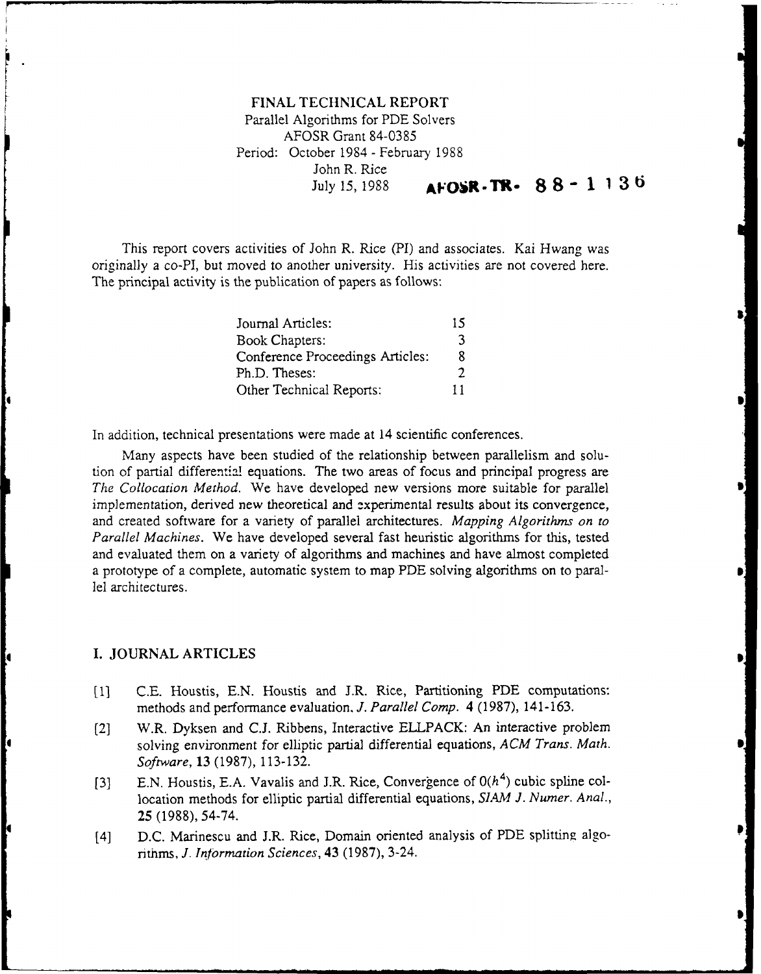# **FINAL TECHNICAL** REPORT Parallel Algorithms for PDE Solvers AFOSR Grant 84-0385 Period: October 1984 **-** February 1988 John R. Rice  $July 15, 1988$  **AFOSR-TR-**  $88 - 1136$

This report covers activities of John R. Rice (PI) and associates. Kai Hwang was originally a co-PI, but moved to another university. His activities are not covered here. The principal activity is the publication of papers as follows:

| Journal Articles:                | 15 |
|----------------------------------|----|
| <b>Book Chapters:</b>            | ٦  |
| Conference Proceedings Articles: | 8  |
| Ph.D. Theses:                    | 2  |
| Other Technical Reports:         | 11 |

In addition, technical presentations were made at 14 scientific conferences.

Many aspects have been studied of the relationship between parallelism and solution of partial differential equations. The two areas of focus and principal progress are *The Collocation Method.* We have developed new versions more suitable for parallel implementation, derived new theoretical and experimental results about its convergence, and created software for a variety of parallel architectures. *Mapping Algorithms on to Parallel Machines.* We have developed several fast heuristic algorithms for this, tested and evaluated them on a variety of algorithms and machines and have almost completed a prototype of a complete, automatic system to map PDE solving algorithms on to parallel architectures.

#### I. JOURNAL ARTICLES

l

ŀ

- **[1]** C.E. Houstis, E.N. Houstis and J.R. Rice, Partitioning PDE computations: methods and performance evaluation. *J. Parallel Comp.* 4 (1987), 141-163.
- (2] W.R. Dyksen and C.J. Ribbens, Interactive ELLPACK: An interactive problem solving environment for elliptic partial differential equations, *ACM Trans. Math. Software,* **13** (1987), 113-132.
- [3] E.N. Houstis, E.A. Vavalis and J.R. Rice, Convergence of  $O(h^4)$  cubic spline collocation methods for elliptic partial differential equations, *SIAM J. Numer. Anal.,* 25 (1988), 54-74.
- [4] D.C. Marinescu and J.R. Rice, Domain oriented analysis of PDE splitting algorithms, *J. Information Sciences,* 43 (1987), 3-24.

**I|**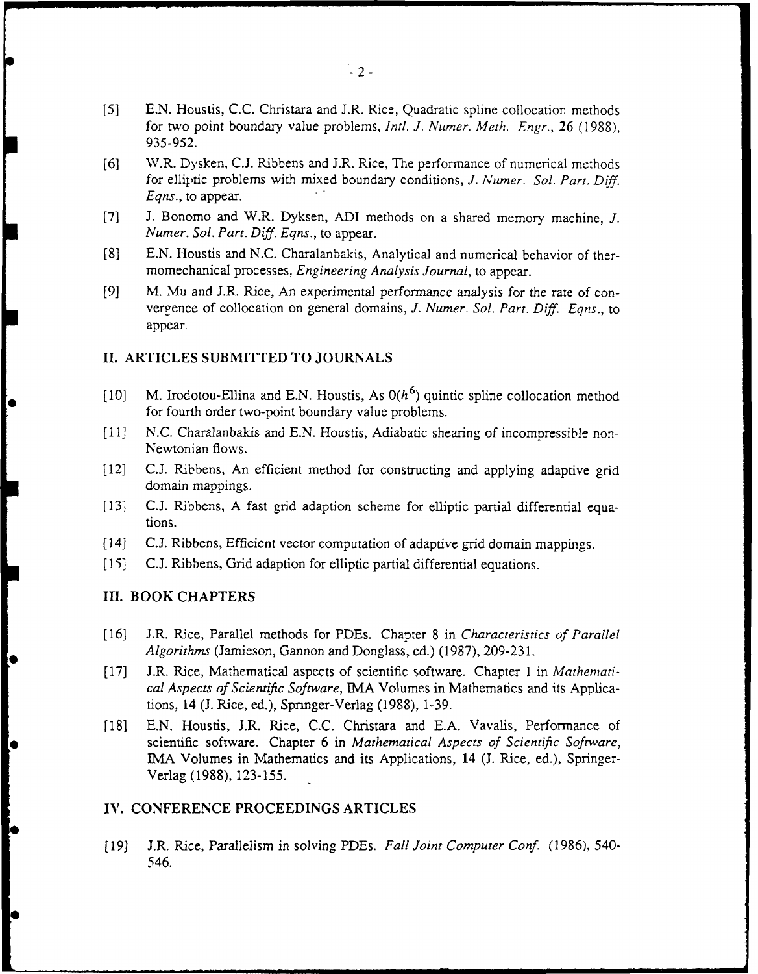- *[5]* E.N. Houstis, C.C. Christara and J.R. Rice, Quadratic spline collocation methods for two point boundary value problems, *Intl. J. Numer. Meth. Engr.,* 26 (1988), 935-952.
- [6] W.R. Dysken, C.J. Ribbens and J.R. Rice, The performance of numerical methods for elliptic problems with mixed boundary conditions, *J. Numer. Sol. Parr.* Diff. *Eqns.,* to appear.
- [7] J. Bonomo and W.R. Dyksen, ADI methods on a shared memory machine, *J. Numer. Sol. Part. Diff. Eqns.,* to appear.
- [8] E.N. Houstis and N.C. Charalanbakis, Analytical and numerical behavior of thermomechanical processes, *Engineering Analysis Journal,* to appear.
- [9] M. Mu and J.R. Rice, An experimental performance analysis for the rate of convergence of collocation on general domains, *J. Numer. Sol. Part. Diff. Eqns.,* to appear.

### **II.** ARTICLES SUBMITTED TO JOURNALS

- [10] M. Irodotou-Ellina and E.N. Houstis, As  $O(h^6)$  quintic spline collocation method for fourth order two-point boundary value problems.
- [11] N.C. Charalanbakis and E.N. Houstis, Adiabatic shearing of incompressible non-Newtonian flows.
- [12] C.J. Ribbens, An efficient method for constructing and applying adaptive grid domain mappings.
- [13] C.J. Ribbens, A fast grid adaption scheme for elliptic partial differential equations.
- [14] C.J. Ribbens, Efficient vector computation of adaptive grid domain mappings.
- **[15]** C.J. Ribbens, Grid adaption for elliptic partial differential equations.

## Ill. BOOK CHAPTERS

**|** 

- [16] J.R. Rice, Parallel methods for PDEs. Chapter 8 in *Characteristics of Parallel Algorithms* (Jamieson, Gannon and Donglass, ed.) (1987), 209-231.
- [17] J.R. Rice, Mathematical aspects of scientific software. Chapter 1 in *Mathematical Aspects of Scientific Software,* IMA Volumes in Mathematics and its Applications, 14 (J. Rice, ed.), Springer-Verlag (1988), 1-39.
- [18] E.N. Houstis, J.R. Rice, **C.C.** Christara and E.A. Vavalis, Performance of scientific software. Chapter **6** in *Mathematical Aspects of Scientific Software,* **IMA** Volumes in Mathematics and its Applications, 14 **(J.** Rice, ed.), Springer-Verlag (1988), 123-155.

#### **IV. CONFERENCE** PROCEEDINGS ARTICLES

[19] J.R. Rice, Parallelism in solving PDEs. *Fall Joint Computer Conf.* (1986), 540- 546.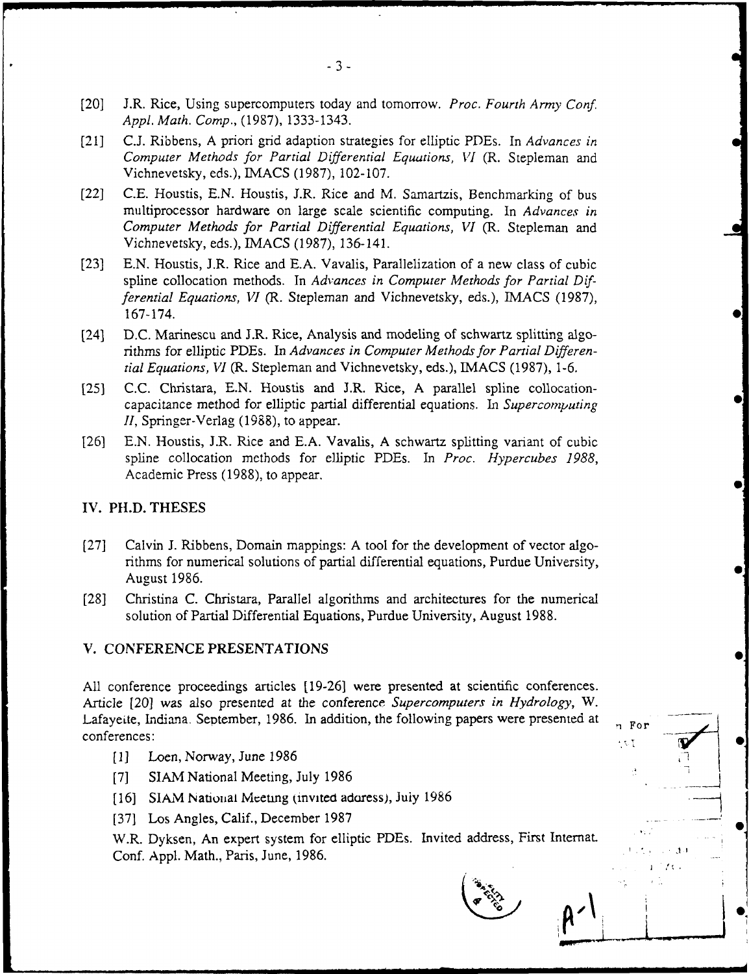- [201 J.R. Rice, Using supercomputers today and tomorrow. *Proc. Fourth Army Conf. Appl. Math. Comp.,* (1987), 1333-1343.
- [21] C.J. Ribbens, A priori grid adaption strategies for elliptic PDEs. In *Advances in Computer Methods for Partial Differential Equations, VI* (R. Stepleman and Vichnevetsky, eds.), IMACS (1987), 102-107.
- [22] C.E. Houstis, E.N. Houstis, J.R. Rice and M. Samartzis, Benchmarking of bus multiprocessor hardware on large scale scientific computing. In *Advances in Computer Methods for Partial Differential Equations, VI* (R. Stepleman and Vichnevetsky, eds.), IMACS (1987), 136-141.
- [23] E.N. Houstis, J.R. Rice and E.A. Vavalis, Parallelization of a new class of cubic spline collocation methods. In *Advances in Computer Methods for Partial Differential Equations, VI (R. Stepleman and Vichnevetsky, eds.), IMACS (1987),* 167-174.
- [24] D.C. Marinescu and J.R. Rice, Analysis and modeling of schwartz splitting algorithms for elliptic PDEs. In *Advances in Computer Methods for Partial Differential Equations, VI* (R. Stepleman and Vichnevetsky, eds.), IMACS (1987), 1-6.
- [25] C.C. Christara, E.N. Houstis and J.R. Rice, A parallel spline collocationcapacitance method for elliptic partial differential equations. In *Supercomputing II,* Springer-Verlag (1988), to appear.
- [26] E.N. Houstis, J.R. Rice and E.A. Vavalis, A schwartz splitting variant of cubic spline collocation methods for elliptic PDEs. In *Proc. Hypercubes 1988,* Academic Press (1988), to appear.

#### IV. PH.D. **THESES**

- [27] Calvin J. Ribbens, Domain mappings: A tool for the development of vector algorithms for numerical solutions of partial differential equations, Purdue University, August 1986.
- [28] Christina C. Christara, Parallel algorithms and architectures for the numerical solution of Partial Differential Equations, Purdue University, August 1988.

#### V. CONFERENCE PRESENTATIONS

All conference proceedings articles [19-26] were presented at scientific conferences. Article [20] was also presented at the conference *Supercomputers in Hydrology, W.* Lafayeite, Indiana. September, 1986. In addition, the following papers were presented at  $F_{\text{p},\text{For}}$  $\blacksquare$ conferences:  $\blacksquare$ 

- [1] Loen, Norway, June 1986
- [7] SIAM National Meeting, July 1986
- [16] SIAM National Meeting (invited adoress), July 1986
- [37] Los Angles, Calif., December 1987

W.R. Dyksen, An expert system for elliptic PDEs. Invited address, First Internat. Conf. Appl. Math., Paris, June, 1986.